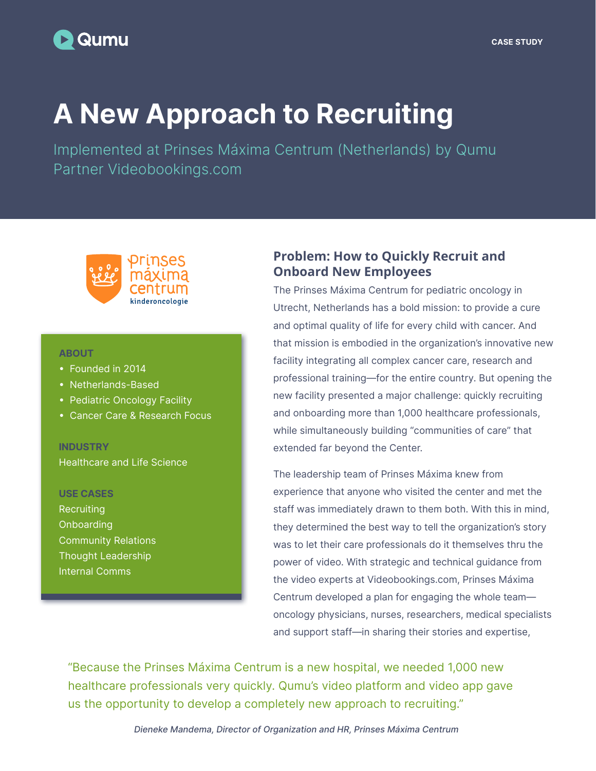# **Qumu**

# A New Approach to Recruiting

Implemented at Prinses Máxima Centrum (Netherlands) by Qumu Partner Videobookings.com



#### ABOUT

- Founded in 2014
- Netherlands-Based
- Pediatric Oncology Facility
- Cancer Care & Research Focus

**INDUSTRY** Healthcare and Life Science

#### USE CASES

Recruiting Onboarding Community Relations Thought Leadership Internal Comms

## **Problem: How to Quickly Recruit and Onboard New Employees**

The Prinses Máxima Centrum for pediatric oncology in Utrecht, Netherlands has a bold mission: to provide a cure and optimal quality of life for every child with cancer. And that mission is embodied in the organization's innovative new facility integrating all complex cancer care, research and professional training—for the entire country. But opening the new facility presented a major challenge: quickly recruiting and onboarding more than 1,000 healthcare professionals, while simultaneously building "communities of care" that extended far beyond the Center.

The leadership team of Prinses Máxima knew from experience that anyone who visited the center and met the staff was immediately drawn to them both. With this in mind, they determined the best way to tell the organization's story was to let their care professionals do it themselves thru the power of video. With strategic and technical guidance from the video experts at Videobookings.com, Prinses Máxima Centrum developed a plan for engaging the whole team oncology physicians, nurses, researchers, medical specialists and support staff—in sharing their stories and expertise,

"Because the Prinses Máxima Centrum is a new hospital, we needed 1,000 new healthcare professionals very quickly. Qumu's video platform and video app gave us the opportunity to develop a completely new approach to recruiting."